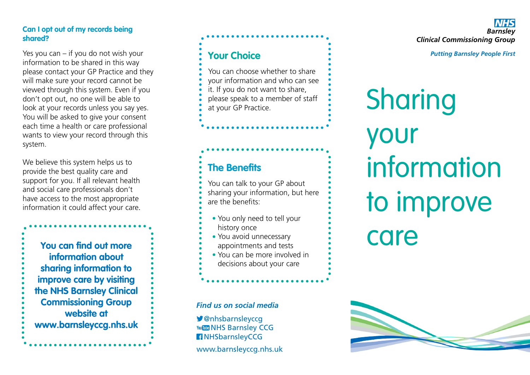## **Can I opt out of my records being shared?**

Yes you can – if you do not wish your information to be shared in this way please contact your GP Practice and they will make sure your record cannot be viewed through this system. Even if you don't opt out, no one will be able to look at your records unless you say yes. You will be asked to give your consent each time a health or care professional wants to view your record through this system.

We believe this system helps us to provide the best quality care and support for you. If all relevant health and social care professionals don't have access to the most appropriate information it could affect your care.

**You can find out more information about sharing information to improve care by visiting the NHS Barnsley Clinical Commissioning Group website at www.barnsleyccg.nhs.uk**

# **Your Choice**

You can choose whether to share your information and who can see it. If you do not want to share, please speak to a member of staff at your GP Practice.

# **The Benefits**

You can talk to your GP about sharing your information, but here are the benefits:

- **•** You only need to tell your history once
- You avoid unnecessary **•** appointments and tests
- You can be more involved in **•**decisions about your care

# *Find us on social media*

@nhsbarnsleyccg You Like NHS Barnsley CCG NHSbarnsleyCCG

www.barnsleyccg.nhs.uk

*Barnsley Clinical Commissioning Group*

*Putting Barnsley People First*

Sharing your information to improve care